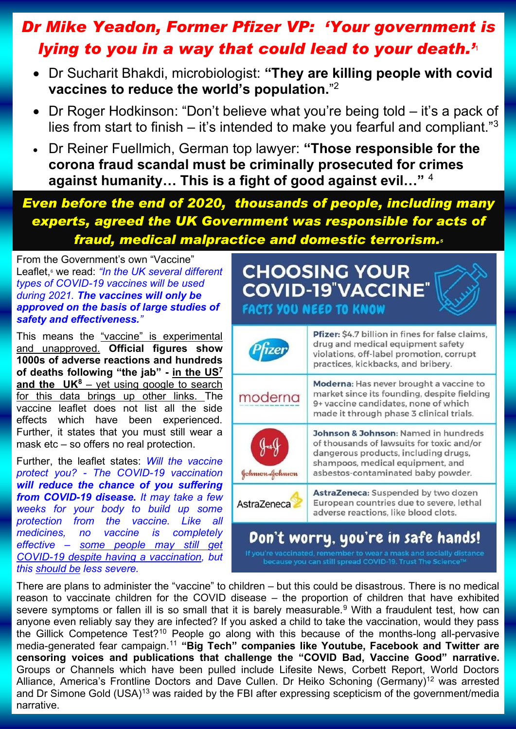## *[Dr Mike Yeadon, Former Pfizer VP: 'Your government is](https://www.lifesitenews.com/news/exclusive-former-pfizer-vp-your-government-is-lying-to-you-in-a-way-that-could-lead-to-your-death)  [lying to you in a way that could lead to your death.'](https://www.lifesitenews.com/news/exclusive-former-pfizer-vp-your-government-is-lying-to-you-in-a-way-that-could-lead-to-your-death)*<sup>1</sup>

- Dr Sucharit Bhakdi, microbiologist: **["They are killing people with covid](https://www.goldegg-verlag.com/goldegg-verlag/wp-content/uploads/corona_unmasked_engl_leseprobe.pdf)  [vaccines to reduce the world's population.](https://www.goldegg-verlag.com/goldegg-verlag/wp-content/uploads/corona_unmasked_engl_leseprobe.pdf)**" 2
- Dr Roger Hodkinson: "Don't believe what you're being told it's a pack of lies from start to finish – it's intended to make you fearful and compliant." $3$
- [Dr Reiner Fuellmich, German top lawyer:](https://odysee.com/@JamesDelingpoleChannel:0/fuellmich:8) **"Those responsible for the [corona fraud scandal must be criminally prosecuted for crimes](https://odysee.com/@JamesDelingpoleChannel:0/fuellmich:8)  [against humanity… This is a fight of good against evil…"](https://odysee.com/@JamesDelingpoleChannel:0/fuellmich:8)** <sup>4</sup>

## *[Even before the end of 2020, thousands of people, including many](https://cvpandemicinvestigation.com/2020/09/covid-19-evidence-of-fraud-medical-malpractice-acts-of-domestic-terrorism-and-breaches-of-human-rights/)  [experts, agreed the UK Government was responsible for acts of](https://cvpandemicinvestigation.com/2020/09/covid-19-evidence-of-fraud-medical-malpractice-acts-of-domestic-terrorism-and-breaches-of-human-rights/)  [fraud, medical malpractice and domestic terrorism.](https://cvpandemicinvestigation.com/2020/09/covid-19-evidence-of-fraud-medical-malpractice-acts-of-domestic-terrorism-and-breaches-of-human-rights/)<sup>5</sup>*

[From the Government's own "Vaccine"](https://www.gov.uk/government/publications/covid-19-vaccination-guide-for-older-adults/covid-19-vaccination-a-guide-to-phase-2-of-the-programme)  [Leaflet,](https://www.gov.uk/government/publications/covid-19-vaccination-guide-for-older-adults/covid-19-vaccination-a-guide-to-phase-2-of-the-programme)<sup>6</sup> we read: *"In the UK several different types of COVID-19 vaccines will be used during 2021. The vaccines will only be approved on the basis of large studies of safety and effectiveness."*

This means the "vaccine" is experimental and unapproved. **Official figures show 1000s of adverse reactions and hundreds of deaths following "the jab" - [in the US](https://www.virginiastoner.com/writing/2021/5/4/the-deadly-covid-19-vaccine-coverup)<sup>7</sup> and [the UK](https://assets.publishing.service.gov.uk/government/uploads/system/uploads/attachment_data/file/987643/Pfizer-BioNTech_analysis_print_12052021.pdf)<sup>8</sup>** – yet using google to search for this data brings up other links. The vaccine leaflet does not list all the side effects which have been experienced. Further, it states that you must still wear a mask etc – so offers no real protection.

Further, the leaflet states: *Will the vaccine protect you? - The COVID-19 vaccination will reduce the chance of you suffering from COVID-19 disease. It may take a few weeks for your body to build up some protection from the vaccine. Like all medicines, no vaccine is completely effective – some people may still get COVID-19 despite having a vaccination, but this should be less severe.*

## **CHOOSING YOUR COVID-19 VACCINE FACTS YOU NEED TO KNOW**

| <i><b>fizer</b></i>                | Pfizer: \$4.7 billion in fines for false claims,<br>drug and medical equipment safety<br>violations, off-label promotion, corrupt<br>practices, kickbacks, and bribery.                             |
|------------------------------------|-----------------------------------------------------------------------------------------------------------------------------------------------------------------------------------------------------|
| moderna                            | Moderna: Has never brought a vaccine to<br>market since its founding, despite fielding<br>9+ vaccine candidates, none of which<br>made it through phase 3 clinical trials.                          |
| Johnson-Johnson                    | Johnson & Johnson: Named in hundreds<br>of thousands of lawsuits for toxic and/or<br>dangerous products, including drugs,<br>shampoos, medical equipment, and<br>asbestos-contaminated baby powder. |
| AstraZeneca                        | AstraZeneca: Suspended by two dozen<br>European countries due to severe, lethal<br>adverse reactions, like blood clots.                                                                             |
| Don't worry, you're in safe hands! |                                                                                                                                                                                                     |

raccinated, remember to wear a mask and socially <mark>d</mark><br>ause you can still spread COVID-19. Trust The Science

There are plans to administer the "vaccine" to children – but this could be disastrous. There is no medical reason to vaccinate children for the COVID disease – [the proportion of children that have exhibited](https://post.parliament.uk/covid-19-in-children/)  [severe symptoms or fallen ill is so small that it is barely measurable.](https://post.parliament.uk/covid-19-in-children/)<sup>9</sup> With a fraudulent test, how can anyone even reliably say they are infected? If you asked a child to take the vaccination, would they pass the [Gillick Competence Test?](https://www.cqc.org.uk/guidance-providers/gps/gp-mythbuster-8-gillick-competency-fraser-guidelines)<sup>10</sup> People go along with this because of the months-long all-pervasive [media-generated fear campaign.](https://www.contractsfinder.service.gov.uk/notice/6043d1fd-1f8c-4232-a32a-a658e19abcb1?origin=SearchResults&p=1)<sup>11</sup> **"Big Tech" companies like Youtube, Facebook and Twitter are censoring voices and publications that challenge the "COVID Bad, Vaccine Good" narrative.**  Groups or Channels which have been pulled include Lifesite News, Corbett Report, World Doctors Alliance, America's Frontline Doctors and Dave Cullen. [Dr Heiko Schoning \(Germany\)](https://www.bitchute.com/video/Tf5a2diOzrGY/)<sup>12</sup> was arrested and [Dr Simone Gold \(USA\)](https://www.lifesitenews.com/news/frontline-doctor-fbi-broke-down-my-door-in-swat-team-raid-of-20-men-guns-blazing)<sup>13</sup> was raided by the FBI after expressing scepticism of the government/media narrative.